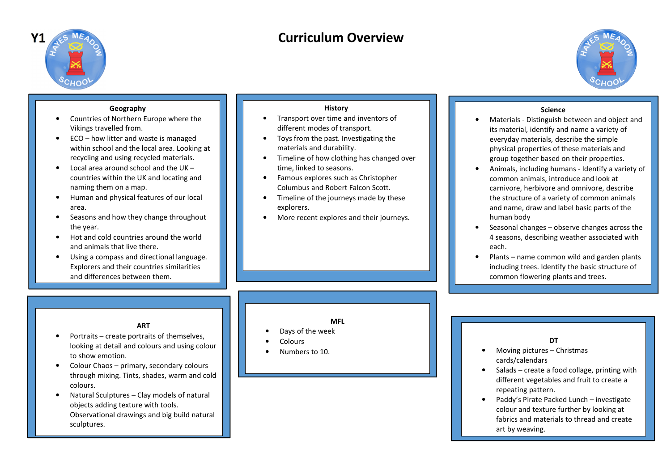

# **Curriculum Overview**



# **Geography**

- Countries of Northern Europe where the •Vikings travelled from.
- • ECO – how litter and waste is managed within school and the local area. Looking at recycling and using recycled materials.
- • Local area around school and the UK – countries within the UK and locating and naming them on a map.
- $\bullet$  Human and physical features of our local area.
- • Seasons and how they change throughout the year.
- • Hot and cold countries around the world and animals that live there.
- • Using a compass and directional language. Explorers and their countries similarities and differences between them.

#### **History**

- Transport over time and inventors of •different modes of transport.
- Toys from the past. Investigating the materials and durability.
- Timeline of how clothing has changed over time, linked to seasons.
- Famous explores such as Christopher Columbus and Robert Falcon Scott.
- Timeline of the journeys made by these explorers.
- •More recent explores and their journeys.

#### **Science**

- Materials Distinguish between and object and •its material, identify and name a variety of everyday materials, describe the simple physical properties of these materials and group together based on their properties.
- • Animals, including humans - Identify a variety of common animals, introduce and look at carnivore, herbivore and omnivore, describe the structure of a variety of common animals and name, draw and label basic parts of the human body
- Seasonal changes observe changes across the •4 seasons, describing weather associated with each.
- • Plants – name common wild and garden plants including trees. Identify the basic structure of common flowering plants and trees.

#### **ART**

- Portraits create portraits of themselves, •looking at detail and colours and using colourto show emotion.
- • Colour Chaos – primary, secondary colours through mixing. Tints, shades, warm and coldcolours.
- • Natural Sculptures – Clay models of natural objects adding texture with tools. Observational drawings and big build natural sculptures.

#### **MFL**

- •Days of the week
- •**Colours**
- •Numbers to 10.

#### **DT**

- Moving pictures Christmas •cards/calendars
- Salads create a food collage, printing with •different vegetables and fruit to create a repeating pattern.
- Paddy's Pirate Packed Lunch investigate •colour and texture further by looking at fabrics and materials to thread and create art by weaving.